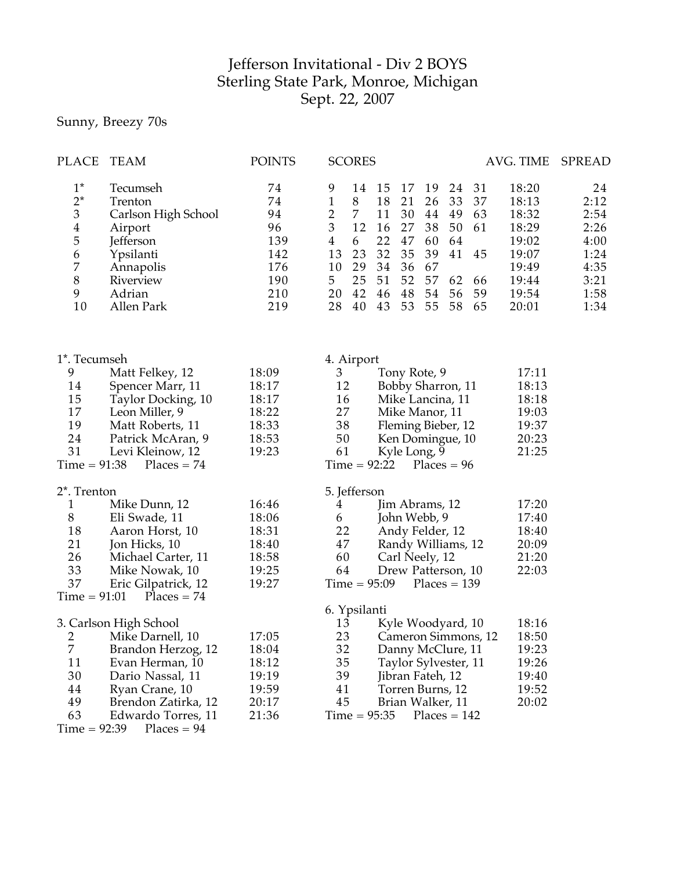## Jefferson Invitational - Div 2 BOYS Sterling State Park, Monroe, Michigan Sept. 22, 2007

Sunny, Breezy 70s

| PLACE                                                                                      | <b>TEAM</b>                                                                                                                                                                             | <b>POINTS</b>                                                  | <b>SCORES</b>                                                                                                                                                 |                                                                                                                                                                                                                                                                                        | AVG. TIME                                                                              | <b>SPREAD</b>                                                              |
|--------------------------------------------------------------------------------------------|-----------------------------------------------------------------------------------------------------------------------------------------------------------------------------------------|----------------------------------------------------------------|---------------------------------------------------------------------------------------------------------------------------------------------------------------|----------------------------------------------------------------------------------------------------------------------------------------------------------------------------------------------------------------------------------------------------------------------------------------|----------------------------------------------------------------------------------------|----------------------------------------------------------------------------|
| $1^*$<br>$2^*$<br>$\mathfrak{Z}$<br>$\overline{\mathbf{4}}$<br>5<br>6<br>7<br>8<br>9<br>10 | Tecumseh<br>Trenton<br>Carlson High School<br>Airport<br>Jefferson<br>Ypsilanti<br>Annapolis<br>Riverview<br>Adrian<br>Allen Park                                                       | 74<br>74<br>94<br>96<br>139<br>142<br>176<br>190<br>210<br>219 | 9<br>14<br>$\mathbf{1}$<br>8<br>$\overline{2}$<br>$\overline{7}$<br>3<br>12<br>$\overline{4}$<br>6<br>23<br>13<br>10<br>29<br>25<br>5<br>42<br>20<br>28<br>40 | 15<br>17<br>19<br>24<br>31<br>33<br>18<br>21<br>26<br>37<br>11<br>30<br>49<br>63<br>44<br>16<br>27<br>38<br>50<br>61<br>22<br>47<br>64<br>60<br>32<br>35<br>39<br>41<br>45<br>34<br>36<br>67<br>51<br>52<br>57<br>62<br>66<br>54<br>46<br>48<br>56<br>59<br>43<br>53<br>55<br>58<br>65 | 18:20<br>18:13<br>18:32<br>18:29<br>19:02<br>19:07<br>19:49<br>19:44<br>19:54<br>20:01 | 24<br>2:12<br>2:54<br>2:26<br>4:00<br>1:24<br>4:35<br>3:21<br>1:58<br>1:34 |
| 1*. Tecumseh                                                                               |                                                                                                                                                                                         |                                                                | 4. Airport                                                                                                                                                    |                                                                                                                                                                                                                                                                                        |                                                                                        |                                                                            |
| 9<br>14<br>15<br>17<br>19<br>24<br>31<br>$Time = 91:38$                                    | Matt Felkey, 12<br>Spencer Marr, 11<br>Taylor Docking, 10<br>Leon Miller, 9<br>Matt Roberts, 11<br>Patrick McAran, 9<br>Levi Kleinow, 12<br>$Places = 74$                               | 18:09<br>18:17<br>18:17<br>18:22<br>18:33<br>18:53<br>19:23    | 3<br>12<br>16<br>27<br>38<br>50<br>61<br>$Time = 92:22$                                                                                                       | Tony Rote, 9<br>Bobby Sharron, 11<br>Mike Lancina, 11<br>Mike Manor, 11<br>Fleming Bieber, 12<br>Ken Domingue, 10<br>Kyle Long, 9<br>$Places = 96$                                                                                                                                     | 17:11<br>18:13<br>18:18<br>19:03<br>19:37<br>20:23<br>21:25                            |                                                                            |
| 2*. Trenton                                                                                |                                                                                                                                                                                         |                                                                | 5. Jefferson                                                                                                                                                  |                                                                                                                                                                                                                                                                                        |                                                                                        |                                                                            |
| 1<br>8<br>18<br>21<br>26<br>33<br>37<br>$Time = 91:01$                                     | Mike Dunn, 12<br>Eli Swade, 11<br>Aaron Horst, 10<br>Jon Hicks, 10<br>Michael Carter, 11<br>Mike Nowak, 10<br>Eric Gilpatrick, 12<br>$Places = 74$                                      | 16:46<br>18:06<br>18:31<br>18:40<br>18:58<br>19:25<br>19:27    | 4<br>6<br>22<br>47<br>60<br>64<br>$Time = 95:09$                                                                                                              | Jim Abrams, 12<br>John Webb, 9<br>Andy Felder, 12<br>Randy Williams, 12<br>Carl Neely, 12<br>Drew Patterson, 10<br>$Places = 139$                                                                                                                                                      | 17:20<br>17:40<br>18:40<br>20:09<br>21:20<br>22:03                                     |                                                                            |
|                                                                                            |                                                                                                                                                                                         |                                                                | 6. Ypsilanti                                                                                                                                                  |                                                                                                                                                                                                                                                                                        |                                                                                        |                                                                            |
| 2<br>7<br>11<br>30<br>44<br>49<br>63<br>$Time = 92:39$                                     | 3. Carlson High School<br>Mike Darnell, 10<br>Brandon Herzog, 12<br>Evan Herman, 10<br>Dario Nassal, 11<br>Ryan Crane, 10<br>Brendon Zatirka, 12<br>Edwardo Torres, 11<br>$Places = 94$ | 17:05<br>18:04<br>18:12<br>19:19<br>19:59<br>20:17<br>21:36    | 13<br>23<br>32<br>35<br>39<br>41<br>45<br>$Time = 95:35$                                                                                                      | Kyle Woodyard, 10<br>Cameron Simmons, 12<br>Danny McClure, 11<br>Taylor Sylvester, 11<br>Jibran Fateh, 12<br>Torren Burns, 12<br>Brian Walker, 11<br>$Places = 142$                                                                                                                    | 18:16<br>18:50<br>19:23<br>19:26<br>19:40<br>19:52<br>20:02                            |                                                                            |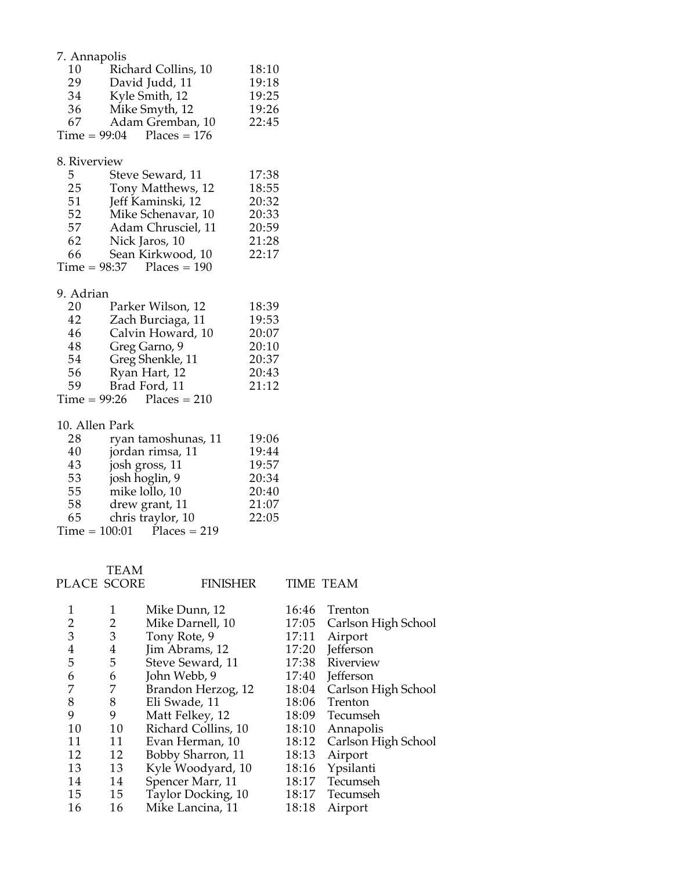| 7. Annapolis    |                     |       |
|-----------------|---------------------|-------|
| 10              | Richard Collins, 10 | 18:10 |
| 29              | David Judd, 11      | 19:18 |
| 34              | Kyle Smith, 12      | 19:25 |
| 36              | Mike Smyth, 12      | 19:26 |
| 67              | Adam Gremban, 10    | 22:45 |
| $Time = 99:04$  | $Places = 176$      |       |
| 8. Riverview    |                     |       |
| 5               | Steve Seward, 11    | 17:38 |
| 25              | Tony Matthews, 12   | 18:55 |
| 51              | Jeff Kaminski, 12   | 20:32 |
| 52              | Mike Schenavar, 10  | 20:33 |
| 57              | Adam Chrusciel, 11  | 20:59 |
| 62              | Nick Jaros, 10      | 21:28 |
| 66              | Sean Kirkwood, 10   | 22:17 |
| $Time = 98:37$  | $Places = 190$      |       |
| 9. Adrian       |                     |       |
| 20              | Parker Wilson, 12   | 18:39 |
| 42              | Zach Burciaga, 11   | 19:53 |
| 46              | Calvin Howard, 10   | 20:07 |
| 48              | Greg Garno, 9       | 20:10 |
| 54              | Greg Shenkle, 11    | 20:37 |
| 56              | Ryan Hart, 12       | 20:43 |
| 59              | Brad Ford, 11       | 21:12 |
| $Time = 99:26$  | $Places = 210$      |       |
| 10. Allen Park  |                     |       |
| 28              | ryan tamoshunas, 11 | 19:06 |
| 40              | jordan rimsa, 11    | 19:44 |
| 43              | josh gross, 11      | 19:57 |
| 53              | josh hoglin, 9      | 20:34 |
| 55              | mike lollo, 10      | 20:40 |
| 58              | drew grant, 11      | 21:07 |
| 65              | chris traylor, 10   | 22:05 |
| $Time = 100:01$ | $Places = 219$      |       |
|                 |                     |       |

PLACE TEAM

SCORE FINISHER TIME TEAM

|    |    | Mike Dunn, 12       | 16:46 | Trenton             |
|----|----|---------------------|-------|---------------------|
| 2  | 2  | Mike Darnell, 10    | 17:05 | Carlson High School |
| 3  | 3  | Tony Rote, 9        | 17:11 | Airport             |
| 4  | 4  | Jim Abrams, 12      | 17:20 | Jefferson           |
| 5  | 5  | Steve Seward, 11    | 17:38 | Riverview           |
| 6  | 6  | John Webb, 9        | 17:40 | <b>Jefferson</b>    |
|    | 7  | Brandon Herzog, 12  | 18:04 | Carlson High School |
| 8  | 8  | Eli Swade, 11       | 18:06 | Trenton             |
| 9  | 9  | Matt Felkey, 12     | 18:09 | Tecumseh            |
| 10 | 10 | Richard Collins, 10 | 18:10 | Annapolis           |
| 11 | 11 | Evan Herman, 10     | 18:12 | Carlson High School |
| 12 | 12 | Bobby Sharron, 11   | 18:13 | Airport             |
| 13 | 13 | Kyle Woodyard, 10   | 18:16 | Ypsilanti           |
| 14 | 14 | Spencer Marr, 11    | 18:17 | Tecumseh            |
| 15 | 15 | Taylor Docking, 10  | 18:17 | Tecumseh            |
| 16 | 16 | Mike Lancina, 11    | 18:18 | Airport             |